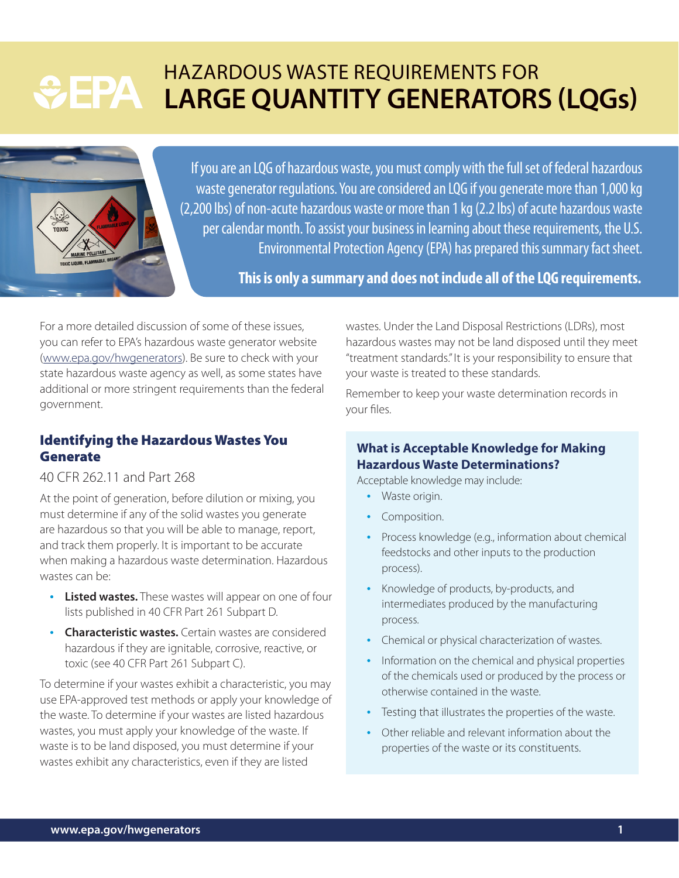# HAZARDOUS WASTE REQUIREMENTS FOR **SEPA LARGE QUANTITY GENERATORS (LQGs)**



If you are an LQG of hazardous waste, you must comply with the full set of federal hazardous waste generator regulations. You are considered an LQG if you generate more than 1,000 kg (2,200 lbs) of non-acute hazardous waste or more than 1 kg (2.2 lbs) of acute hazardous waste per calendar month. To assist your business in learning about these requirements, the U.S. Environmental Protection Agency (EPA) has prepared this summary fact sheet.

**This is only a summary and does not include all of the LQG requirements.**

For a more detailed discussion of some of these issues, you can refer to EPA's hazardous waste generator website ([www.epa.gov/hwgenerators](http://www.epa.gov/hwgenerators)). Be sure to check with your state hazardous waste agency as well, as some states have additional or more stringent requirements than the federal government.

# Identifying the Hazardous Wastes You Generate

# 40 CFR 262.11 and Part 268

At the point of generation, before dilution or mixing, you must determine if any of the solid wastes you generate are hazardous so that you will be able to manage, report, and track them properly. It is important to be accurate when making a hazardous waste determination. Hazardous wastes can be:

- **Listed wastes.** These wastes will appear on one of four lists published in 40 CFR Part 261 Subpart D.
- **Characteristic wastes.** Certain wastes are considered hazardous if they are ignitable, corrosive, reactive, or toxic (see 40 CFR Part 261 Subpart C).

To determine if your wastes exhibit a characteristic, you may use EPA-approved test methods or apply your knowledge of the waste. To determine if your wastes are listed hazardous wastes, you must apply your knowledge of the waste. If waste is to be land disposed, you must determine if your wastes exhibit any characteristics, even if they are listed

wastes. Under the Land Disposal Restrictions (LDRs), most hazardous wastes may not be land disposed until they meet "treatment standards." It is your responsibility to ensure that your waste is treated to these standards.

Remember to keep your waste determination records in your files.

### **What is Acceptable Knowledge for Making Hazardous Waste Determinations?**

Acceptable knowledge may include:

- Waste origin.
- Composition.
- Process knowledge (e.g., information about chemical feedstocks and other inputs to the production process).
- Knowledge of products, by-products, and intermediates produced by the manufacturing process.
- Chemical or physical characterization of wastes.
- Information on the chemical and physical properties of the chemicals used or produced by the process or otherwise contained in the waste.
- Testing that illustrates the properties of the waste.
- Other reliable and relevant information about the properties of the waste or its constituents.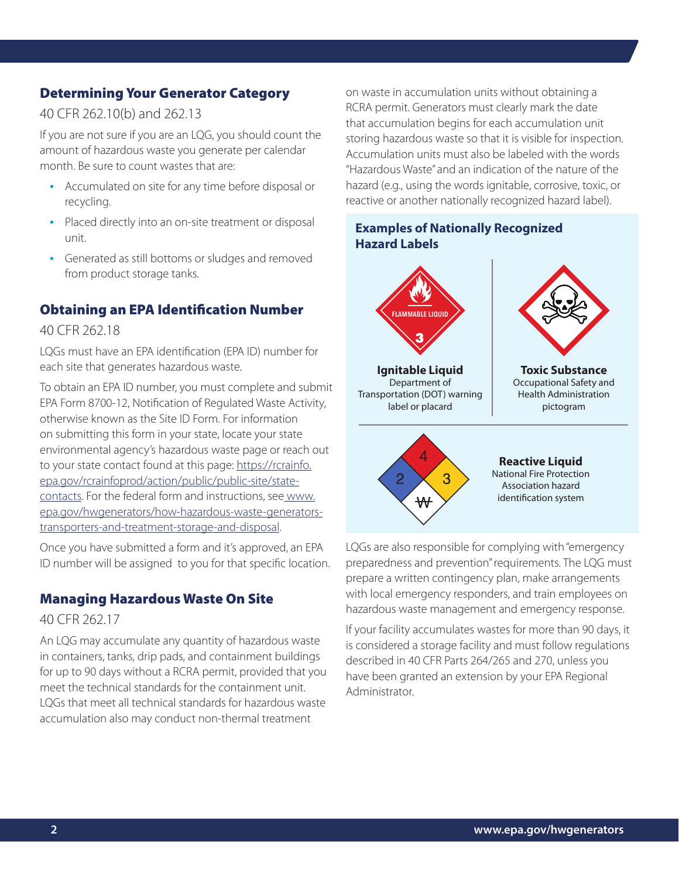# Determining Your Generator Category

# 40 CFR 262.10(b) and 262.13

If you are not sure if you are an LQG, you should count the amount of hazardous waste you generate per calendar month. Be sure to count wastes that are:

- Accumulated on site for any time before disposal or recycling.
- Placed directly into an on-site treatment or disposal unit.
- Generated as still bottoms or sludges and removed from product storage tanks.

# Obtaining an EPA Identification Number

#### 40 CFR 262.18

LQGs must have an EPA identification (EPA ID) number for each site that generates hazardous waste.

To obtain an EPA ID number, you must complete and submit EPA Form 8700-12, Notification of Regulated Waste Activity, otherwise known as the Site ID Form. For information on submitting this form in your state, locate your state environmental agency's hazardous waste page or reach out to your state contact found at this page: [https://rcrainfo.](https://rcrainfo.epa.gov/rcrainfoprod/action/public/public-site/state-contacts) [epa.gov/rcrainfoprod/action/public/public-site/state](https://rcrainfo.epa.gov/rcrainfoprod/action/public/public-site/state-contacts)[contacts](https://rcrainfo.epa.gov/rcrainfoprod/action/public/public-site/state-contacts). For the federal form and instructions, se[e www.](http:// www.epa.gov/hwgenerators/how-hazardous-waste-generators-transporters-and-treatment-storage-and-disposal) [epa.gov/hwgenerators/how-hazardous-waste-generators](http:// www.epa.gov/hwgenerators/how-hazardous-waste-generators-transporters-and-treatment-storage-and-disposal)[transporters-and-treatment-storage-and-disposal](http:// www.epa.gov/hwgenerators/how-hazardous-waste-generators-transporters-and-treatment-storage-and-disposal).

Once you have submitted a form and it's approved, an EPA ID number will be assigned to you for that specific location.

## Managing Hazardous Waste On Site

### 40 CFR 262.17

An LQG may accumulate any quantity of hazardous waste in containers, tanks, drip pads, and containment buildings for up to 90 days without a RCRA permit, provided that you meet the technical standards for the containment unit. LQGs that meet all technical standards for hazardous waste accumulation also may conduct non-thermal treatment

on waste in accumulation units without obtaining a RCRA permit. Generators must clearly mark the date that accumulation begins for each accumulation unit storing hazardous waste so that it is visible for inspection. Accumulation units must also be labeled with the words "Hazardous Waste" and an indication of the nature of the hazard (e.g., using the words ignitable, corrosive, toxic, or reactive or another nationally recognized hazard label).

# **Examples of Nationally Recognized Hazard Labels**



LQGs are also responsible for complying with "emergency preparedness and prevention" requirements. The LQG must prepare a written contingency plan, make arrangements with local emergency responders, and train employees on hazardous waste management and emergency response.

If your facility accumulates wastes for more than 90 days, it is considered a storage facility and must follow regulations described in 40 CFR Parts 264/265 and 270, unless you have been granted an extension by your EPA Regional Administrator.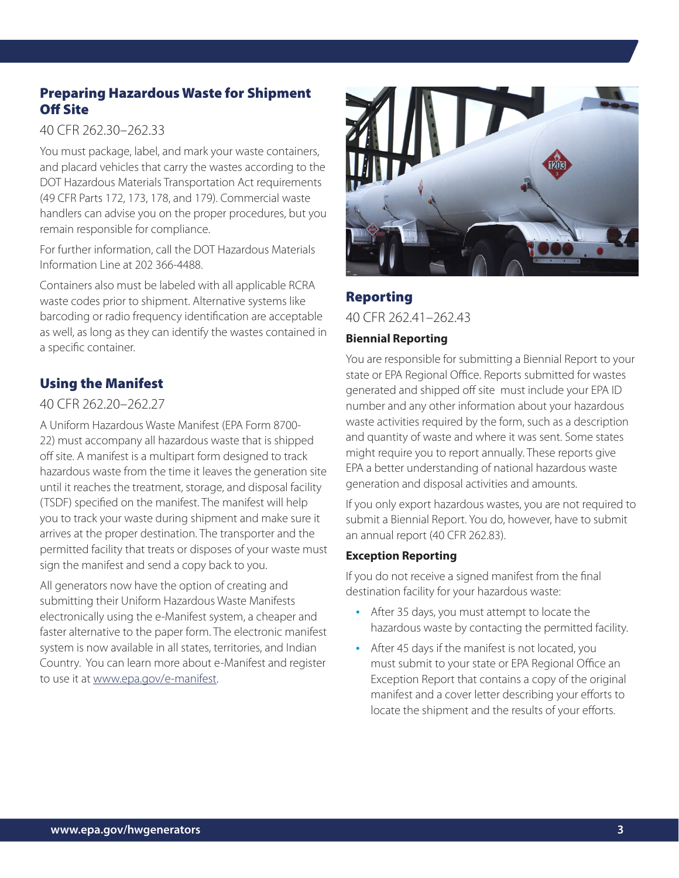# Preparing Hazardous Waste for Shipment Off Site

### 40 CFR 262.30–262.33

You must package, label, and mark your waste containers, and placard vehicles that carry the wastes according to the DOT Hazardous Materials Transportation Act requirements (49 CFR Parts 172, 173, 178, and 179). Commercial waste handlers can advise you on the proper procedures, but you remain responsible for compliance.

For further information, call the DOT Hazardous Materials Information Line at 202 366-4488.

Containers also must be labeled with all applicable RCRA waste codes prior to shipment. Alternative systems like barcoding or radio frequency identification are acceptable as well, as long as they can identify the wastes contained in a specific container.

# Using the Manifest

# 40 CFR 262.20–262.27

A Uniform Hazardous Waste Manifest (EPA Form 8700- 22) must accompany all hazardous waste that is shipped off site. A manifest is a multipart form designed to track hazardous waste from the time it leaves the generation site until it reaches the treatment, storage, and disposal facility (TSDF) specified on the manifest. The manifest will help you to track your waste during shipment and make sure it arrives at the proper destination. The transporter and the permitted facility that treats or disposes of your waste must sign the manifest and send a copy back to you.

All generators now have the option of creating and submitting their Uniform Hazardous Waste Manifests electronically using the e-Manifest system, a cheaper and faster alternative to the paper form. The electronic manifest system is now available in all states, territories, and Indian Country. You can learn more about e-Manifest and register to use it at [www.epa.gov/e-manifest](http://www.epa.gov/e-manifest).



# Reporting

40 CFR 262.41–262.43

### **Biennial Reporting**

You are responsible for submitting a Biennial Report to your state or EPA Regional Office. Reports submitted for wastes generated and shipped off site must include your EPA ID number and any other information about your hazardous waste activities required by the form, such as a description and quantity of waste and where it was sent. Some states might require you to report annually. These reports give EPA a better understanding of national hazardous waste generation and disposal activities and amounts.

If you only export hazardous wastes, you are not required to submit a Biennial Report. You do, however, have to submit an annual report (40 CFR 262.83).

### **Exception Reporting**

If you do not receive a signed manifest from the final destination facility for your hazardous waste:

- After 35 days, you must attempt to locate the hazardous waste by contacting the permitted facility.
- After 45 days if the manifest is not located, you must submit to your state or EPA Regional Office an Exception Report that contains a copy of the original manifest and a cover letter describing your efforts to locate the shipment and the results of your efforts.